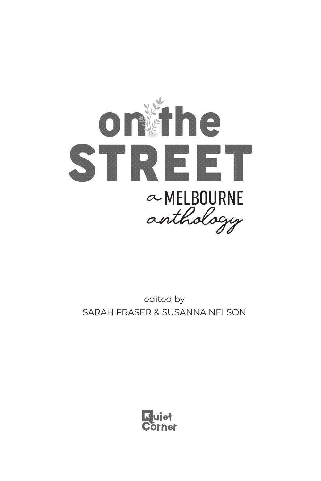

edited by SARAH FRASER & SUSANNA NELSON

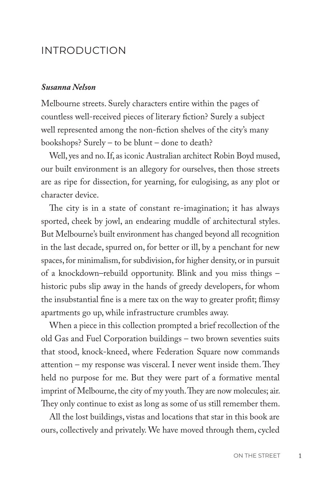## INTRODUCTION

## *Susanna Nelson*

Melbourne streets. Surely characters entire within the pages of countless well-received pieces of literary fiction? Surely a subject well represented among the non-fiction shelves of the city's many bookshops? Surely – to be blunt – done to death?

Well, yes and no. If, as iconic Australian architect Robin Boyd mused, our built environment is an allegory for ourselves, then those streets are as ripe for dissection, for yearning, for eulogising, as any plot or character device.

The city is in a state of constant re-imagination; it has always sported, cheek by jowl, an endearing muddle of architectural styles. But Melbourne's built environment has changed beyond all recognition in the last decade, spurred on, for better or ill, by a penchant for new spaces, for minimalism, for subdivision, for higher density, or in pursuit of a knockdown–rebuild opportunity. Blink and you miss things – historic pubs slip away in the hands of greedy developers, for whom the insubstantial fine is a mere tax on the way to greater profit; flimsy apartments go up, while infrastructure crumbles away.

When a piece in this collection prompted a brief recollection of the old Gas and Fuel Corporation buildings – two brown seventies suits that stood, knock-kneed, where Federation Square now commands attention – my response was visceral. I never went inside them. They held no purpose for me. But they were part of a formative mental imprint of Melbourne, the city of my youth. They are now molecules; air. They only continue to exist as long as some of us still remember them.

All the lost buildings, vistas and locations that star in this book are ours, collectively and privately. We have moved through them, cycled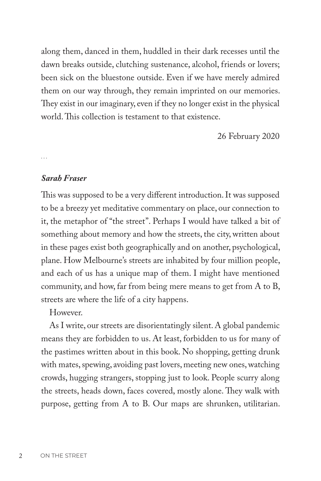along them, danced in them, huddled in their dark recesses until the dawn breaks outside, clutching sustenance, alcohol, friends or lovers; been sick on the bluestone outside. Even if we have merely admired them on our way through, they remain imprinted on our memories. They exist in our imaginary, even if they no longer exist in the physical world. This collection is testament to that existence.

26 February 2020

...

## *Sarah Fraser*

This was supposed to be a very different introduction. It was supposed to be a breezy yet meditative commentary on place, our connection to it, the metaphor of "the street". Perhaps I would have talked a bit of something about memory and how the streets, the city, written about in these pages exist both geographically and on another, psychological, plane. How Melbourne's streets are inhabited by four million people, and each of us has a unique map of them. I might have mentioned community, and how, far from being mere means to get from A to B, streets are where the life of a city happens.

However.

As I write, our streets are disorientatingly silent. A global pandemic means they are forbidden to us. At least, forbidden to us for many of the pastimes written about in this book. No shopping, getting drunk with mates, spewing, avoiding past lovers, meeting new ones, watching crowds, hugging strangers, stopping just to look. People scurry along the streets, heads down, faces covered, mostly alone. They walk with purpose, getting from A to B. Our maps are shrunken, utilitarian.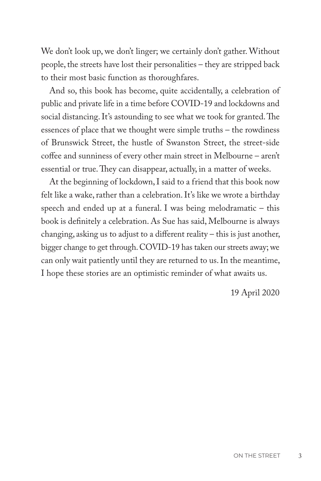We don't look up, we don't linger; we certainly don't gather. Without people, the streets have lost their personalities – they are stripped back to their most basic function as thoroughfares.

And so, this book has become, quite accidentally, a celebration of public and private life in a time before COVID-19 and lockdowns and social distancing. It's astounding to see what we took for granted. The essences of place that we thought were simple truths – the rowdiness of Brunswick Street, the hustle of Swanston Street, the street-side coffee and sunniness of every other main street in Melbourne – aren't essential or true. They can disappear, actually, in a matter of weeks.

At the beginning of lockdown, I said to a friend that this book now felt like a wake, rather than a celebration. It's like we wrote a birthday speech and ended up at a funeral. I was being melodramatic – this book is definitely a celebration. As Sue has said, Melbourne is always changing, asking us to adjust to a different reality – this is just another, bigger change to get through. COVID-19 has taken our streets away; we can only wait patiently until they are returned to us. In the meantime, I hope these stories are an optimistic reminder of what awaits us.

19 April 2020